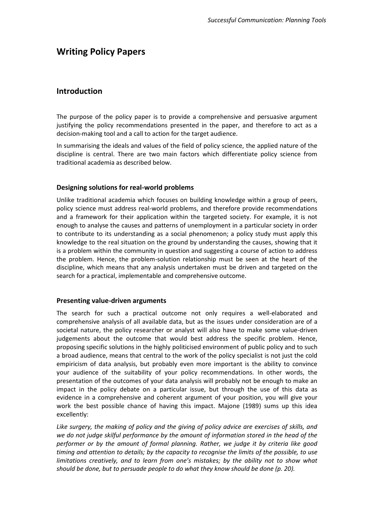# **Writing Policy Papers**

# **Introduction**

The purpose of the policy paper is to provide a comprehensive and persuasive argument justifying the policy recommendations presented in the paper, and therefore to act as a decision-making tool and a call to action for the target audience.

In summarising the ideals and values of the field of policy science, the applied nature of the discipline is central. There are two main factors which differentiate policy science from traditional academia as described below.

#### **Designing solutions for real-world problems**

Unlike traditional academia which focuses on building knowledge within a group of peers, policy science must address real-world problems, and therefore provide recommendations and a framework for their application within the targeted society. For example, it is not enough to analyse the causes and patterns of unemployment in a particular society in order to contribute to its understanding as a social phenomenon; a policy study must apply this knowledge to the real situation on the ground by understanding the causes, showing that it is a problem within the community in question and suggesting a course of action to address the problem. Hence, the problem-solution relationship must be seen at the heart of the discipline, which means that any analysis undertaken must be driven and targeted on the search for a practical, implementable and comprehensive outcome.

#### **Presenting value-driven arguments**

The search for such a practical outcome not only requires a well-elaborated and comprehensive analysis of all available data, but as the issues under consideration are of a societal nature, the policy researcher or analyst will also have to make some value-driven judgements about the outcome that would best address the specific problem. Hence, proposing specific solutions in the highly politicised environment of public policy and to such a broad audience, means that central to the work of the policy specialist is not just the cold empiricism of data analysis, but probably even more important is the ability to convince your audience of the suitability of your policy recommendations. In other words, the presentation of the outcomes of your data analysis will probably not be enough to make an impact in the policy debate on a particular issue, but through the use of this data as evidence in a comprehensive and coherent argument of your position, you will give your work the best possible chance of having this impact. Majone (1989) sums up this idea excellently:

*Like surgery, the making of policy and the giving of policy advice are exercises of skills, and we do not judge skilful performance by the amount of information stored in the head of the performer or by the amount of formal planning. Rather, we judge it by criteria like good timing and attention to details; by the capacity to recognise the limits of the possible, to use limitations creatively, and to learn from one's mistakes; by the ability not to show what should be done, but to persuade people to do what they know should be done (p. 20).*